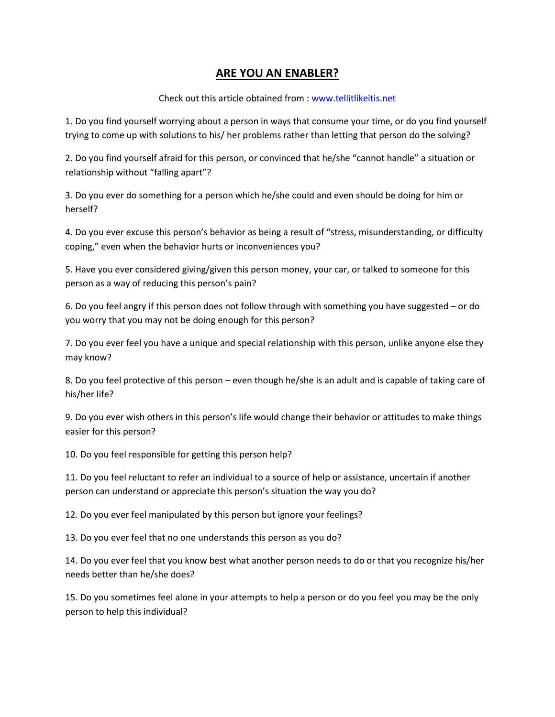## **ARE YOU AN ENABLER?**

Check out this article obtained from [: www.tellitlikeitis.net](http://www.tellitlikeitis.net/)

1. Do you find yourself worrying about a person in ways that consume your time, or do you find yourself trying to come up with solutions to his/ her problems rather than letting that person do the solving?

2. Do you find yourself afraid for this person, or convinced that he/she "cannot handle" a situation or relationship without "falling apart"?

3. Do you ever do something for a person which he/she could and even should be doing for him or herself?

4. Do you ever excuse this person's behavior as being a result of "stress, misunderstanding, or difficulty coping," even when the behavior hurts or inconveniences you?

5. Have you ever considered giving/given this person money, your car, or talked to someone for this person as a way of reducing this person's pain?

6. Do you feel angry if this person does not follow through with something you have suggested – or do you worry that you may not be doing enough for this person?

7. Do you ever feel you have a unique and special relationship with this person, unlike anyone else they may know?

8. Do you feel protective of this person – even though he/she is an adult and is capable of taking care of his/her life?

9. Do you ever wish others in this person's life would change their behavior or attitudes to make things easier for this person?

10. Do you feel responsible for getting this person help?

11. Do you feel reluctant to refer an individual to a source of help or assistance, uncertain if another person can understand or appreciate this person's situation the way you do?

12. Do you ever feel manipulated by this person but ignore your feelings?

13. Do you ever feel that no one understands this person as you do?

14. Do you ever feel that you know best what another person needs to do or that you recognize his/her needs better than he/she does?

15. Do you sometimes feel alone in your attempts to help a person or do you feel you may be the only person to help this individual?